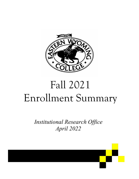

# Fall 2021 Enrollment Summary

*Institutional Research Office April 2022* 

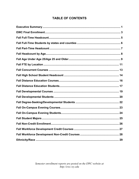# **TABLE OF CONTENTS**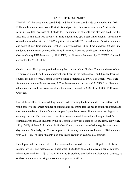#### **EXECUTIVE SUMMARY**

<span id="page-2-0"></span>The Fall 2021 headcount decreased 4.5% and the FTE decreased 8.2% compared to Fall 2020. Full-time headcount was down 46 students and part-time headcount was down 20 students resulting in a total decrease of 66 students. The number of students who attended EWC for the first time in Fall 2021 was down 5 full-time students and up 36 part-time students. The number of students who had attended EWC any time prior to Fall 2021 was down 41 full-time students and down 56 part-time students. Goshen County was down 18 full-time and down 82 part-time students, and Outreach decreased by 28 full-time and increased by 62 part-time students. Goshen County FTE decreased by 59.41 FTE, and Outreach decreased by 26.67 FTE. Outreach accounted for 45.4% of the FTE.

Credit course offerings are provided as regular courses in both Goshen County and most of the 12 outreach sites. In addition, concurrent enrollment in the high schools, and distance learning courses are also offered. Goshen County courses generated 527.50 FTE of which 7.01% were from concurrent enrollment courses, 5.67% from evening courses, and 31.74% from distance education courses. Concurrent enrollment courses generated 62.64% of the 438.33 FTE from Outreach.

One of the challenges in scheduling courses is determining the time and delivery method that will best serve the largest number of students and accommodate the needs of non-traditional and site bound students. Some of the on-campus day students do enroll in distance learning and/or evening courses. The 84 distance education courses served 194 students living in EWC's outreach areas and 215 students living in Goshen County for a total of 409 students. However, 145 (67.4%) of these 215 students in Goshen County were also enrolled in regular on-campus day courses. Similarly, the 20 on-campus credit evening courses served a total of 101 students with 72 (71.3%) of these students also enrolled in regular on-campus day courses.

Developmental courses are offered for those students who do not have college level skills in reading, writing, and mathematics. There were 86 students enrolled in developmental courses, which accounted for 2.19% of the FTE. Of the 86 students enrolled in developmental courses, 36 of those students are seeking an associate degree or certificate.

1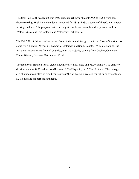The total Fall 2021 headcount was 1402 students. Of those students, 905 (64.6%) were nondegree seeking. High School students accounted for 781 (86.3%) students of the 905 non-degree seeking students. The programs with the largest enrollments were Interdisciplinary Studies, Welding & Joining Technology, and Veterinary Technology.

The Fall 2021 full-time students came from 19 states and foreign countries. Most of the students came from 4 states: Wyoming, Nebraska, Colorado and South Dakota. Within Wyoming, the full-time students came from 22 counties, with the majority coming from Goshen, Converse, Platte, Weston, Laramie, Natrona and Crook.

The gender distribution for all credit students was 44.8% male and 55.2% female. The ethnicity distribution was 84.2% white non-Hispanic, 8.3% Hispanic, and 7.5% all others. The average age of students enrolled in credit courses was 21.4 with a 20.7 average for full-time students and a 21.8 average for part-time students.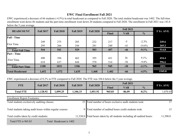# **EWC Final Enrollment Fall 2021**

EWC experienced a decrease of 66 students (-4.5%) in total headcount as compared to Fall 2020. The total student headcount was 1402. The full-time enrollment went down 46 students and the part-time enrollment went down 20 students compared to Fall 2020. The enrollment in Fall 2021 was 143.8 below the 5 year average.

| <b>HEADCOUNT</b>                          |       |       |       | <b>Fall 2017</b> | <b>Fall 2018</b> | <b>Fall 2019</b> | <b>Fall 2020</b> |        |  | <b>5 Yr. AVG</b> |
|-------------------------------------------|-------|-------|-------|------------------|------------------|------------------|------------------|--------|--|------------------|
|                                           |       |       |       |                  | Final            | <b>VAR</b>       | $\frac{0}{0}$    |        |  |                  |
| <b>Full - Time</b>                        |       |       |       |                  |                  |                  |                  |        |  |                  |
|                                           | 249   | 275   | 285   | 222              | 217              | $-5$             | $-2.3\%$         | 249.6  |  |                  |
| <b>First Time</b>                         | 295   | 266   | 244   | 281              | 240              | $-41$            | $-14.6%$         | 265.2  |  |                  |
| Previous<br><b>Total Full Time</b>        | 544   | 541   | 529   | 503              | 457              | $-46$            | $-9.1%$          | 514.8  |  |                  |
| <b>Part - Time</b>                        |       |       |       |                  |                  |                  |                  |        |  |                  |
| First Time                                | 490   | 394   | 462   | 395              | 431              | 36               | $9.1\%$          | 434.4  |  |                  |
|                                           | 618   | 637   | 644   | 570              | 514              | $-56$            | $-9.8%$          | 596.6  |  |                  |
| <b>Previous</b><br><b>Total Part Time</b> | 1108  | 1031  | 1106  | 965              | 945              | $-20$            | $-2.1\%$         | 1031   |  |                  |
| <b>Total Headcount</b>                    | 1,652 | 1,572 | 1,635 | 1,468            | 1,402            | $-66$            | $-4.5%$          | 1545.8 |  |                  |

EWC experienced a decrease of 8.2% in FTE compared to Fall 2020. The FTE was 104.6 below the 5 year average.

| <b>TTE</b>       | <b>Fall 2017</b> | <b>Fall 2018</b> | <b>Fall 2019</b> | <b>Fall 2020</b> |              | <b>Fall 2021</b> |               | <b>5 Yr. AVG</b> |
|------------------|------------------|------------------|------------------|------------------|--------------|------------------|---------------|------------------|
|                  |                  |                  |                  |                  | <b>Final</b> | <b>VAR</b>       | $\frac{0}{0}$ |                  |
| <b>Total FTE</b> | 1,128.92         | ,099.25          | ,106.33          | .,051.92         | 965.83       | $-86.09$         | $-8.2\%$      | 1,070.45         |

Enrollment Report Footnotes:

| Total students exclusively auditing classes:             |                         | 35 Total number of hours exclusive audit students took:                 |          |
|----------------------------------------------------------|-------------------------|-------------------------------------------------------------------------|----------|
| Total students taking audit hours within regular courses |                         | 9 Total number of audited hours credit students took:                   |          |
| Total credits taken by credit students:                  |                         | 11,538.0 Total hours taken by all students including all audited hours: | 11,590.0 |
| Total FTE is 965.83                                      | Total Headcount is 1402 |                                                                         |          |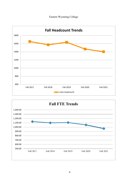



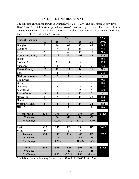#### **FALL FULL-TIME HEADCOUNT**

The full-time enrollment growth in Outreach was -28 (-17.7%) and in Goshen County it was - 18 (-5.2%). The total full-time growth was -46 (-9.1%) as compared to last Fall. Outreach fulltime headcount was 11.6 below the 5 year avg. Goshen County was 46.2 below the 5 year avg for an overall 57.8 below the 5 year avg.

|                         |                | 5 Yr.                   |                |              |                |       |
|-------------------------|----------------|-------------------------|----------------|--------------|----------------|-------|
| <b>Student Location</b> | 17             | 18                      | 19             | 20           | 21             | Avg.  |
| Douglas                 | 53             | 76                      | 47             | 79           | 69             | 64.8  |
| Glenrock                | $\mathbf{1}$   | 5                       | 6              | 10           | 10             | 6.4   |
| <b>LEA</b>              | 23             | 32                      | 48             | 19           | 10             | 26.4  |
| <b>Converse County</b>  | 77             | 113                     | 101            | 108          | 89             | 97.6  |
| Hulett                  |                |                         | $\overline{2}$ |              |                | 0.4   |
| Moorcroft               | 14             | 25                      | 18             | 8            | $\overline{4}$ | 13.8  |
| Sundance                | 3              | $\overline{4}$          | 9              | 8            | $\overline{7}$ | 6.2   |
| <b>Crook County</b>     | 17             | 29                      | 29             | 16           | 11             | 20.4  |
| Lusk                    | $\overline{7}$ | $\overline{2}$          | $\mathbf{1}$   | 6            |                | 3.2   |
| <b>Niobrara County</b>  | $\overline{7}$ | $\overline{2}$          | $\mathbf{1}$   | 6            |                | 3.2   |
| Chugwater               |                |                         |                | $\mathbf{1}$ |                | 0.2   |
| Glendo                  |                |                         |                |              | $\overline{2}$ | 0.4   |
| Guernsey                | $\mathbf{1}$   | $\overline{3}$          | $\overline{4}$ | 3            | $\mathbf{1}$   | 2.4   |
| Wheatland               | 10             | $\mathbf{1}$            | $\overline{2}$ | 9            | 4              | 5.2   |
| <b>Platte County</b>    | 11             | $\overline{\mathbf{4}}$ | 6              | 13           | $\overline{7}$ | 8.2   |
| Newcastle               | 6              | $\overline{7}$          | 6              | 14           | 22             | 11.0  |
| Upton                   | $\overline{2}$ | $\mathbf{1}$            |                |              |                | 0.6   |
| <b>Weston County</b>    | 8              | 8                       | 6              | 14           | 22             | 11.6  |
| Other*                  |                |                         | $\mathbf{1}$   | $\mathbf{1}$ | $\mathbf{1}$   | 0.6   |
|                         |                |                         |                |              |                |       |
| Outreach                | 120            | 156                     | 144            | 158          | 130            | 141.6 |
| Variance                |                | 36                      | $-12$          | 14           | $-28$          |       |
| % Change                |                | 30.0%                   | $-7.7%$        | 9.7%         | $-17.7%$       |       |
|                         |                |                         |                |              |                |       |
| <b>EWC</b>              | 415            | 385                     | 382            | 339          | 327            | 369.6 |
| <b>WMC</b>              | 9              |                         | $\mathbf{3}$   | 6            |                |       |
| Goshen                  | 424            | 385                     | 385            | 345          | 327            | 373.2 |
| Variance                |                | $-39$                   |                | $-40$        | $-18$          |       |
| % Change                |                | $-9.2\%$                |                | $-10.4%$     | $-5.2\%$       |       |
|                         |                |                         |                |              |                |       |
| <b>Total</b>            | 544            | 541                     | 529            | 503          | 457            | 514.8 |
| <b>Variance</b>         |                | $-3$                    | $-12$          | $-26$        | $-46$          |       |
| % Change                |                | $-0.6%$                 | $-2.2\%$       | $-4.9\%$     | $-9.1%$        |       |

\* Full-Time Distance Learning Students Living Outside the EWC Service Area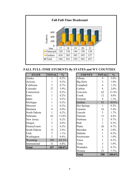

**FALL FULL-TIME STUDENTS By STATES and WY COUNTIES** 

| <b>STATE</b>  | <b>TOTAL</b>   | $\frac{0}{0}$ |
|---------------|----------------|---------------|
| Alaska        | 1              | $0.2\%$       |
| Arizona       | 1              | 0.2%          |
| California    | 3              | 0.7%          |
| Colorado      | 27             | 5.9%          |
| Connecticut   | 1              | 0.2%          |
| Iowa          | 1              | 0.2%          |
| Idaho         | 1              | 0.2%          |
| Michigan      | 1              | 0.2%          |
| Missouri      | 1              | $0.2\%$       |
| Montana       | $\overline{4}$ | 0.9%          |
| North Dakota  | 1              | 0.2%          |
| Nebraska      | 63             | 13.8%         |
| New Jersey    | $\mathbf{1}$   | 0.2%          |
| Oregon        | $\overline{2}$ | 0.4%          |
| Pennsylvania  | $\mathbf{1}$   | 0.2%          |
| South Dakota  | 12             | 2.6%          |
| Utah          | 5              | 1.1%          |
| Washington    | $\overline{2}$ | 0.4%          |
| Wyoming       | 298            | 65.2%         |
| International | 31             | 6.8%          |
| Total         | 457            | 100.0%        |

| <b>COUNTY</b>      | <b>TOTAL</b>   | $\frac{0}{0}$ |
|--------------------|----------------|---------------|
| Albany             | 9              | 3.0%          |
| Big Horn           | 3              | 1.0%          |
| Campbell           | $\overline{4}$ | 1.3%          |
| Carbon             | 6              | $2.0\%$       |
| Converse           | 65             | 21.8%         |
| Crook              | 12             | 4.0%          |
| Fremont            | $\overline{4}$ | 1.3%          |
| Goshen             | 92             | 30.9%         |
| <b>Hot Springs</b> | 1              | 0.3%          |
| Laramie            | 16             | 5.4%          |
| Lincoln            | 5              | 1.7%          |
| Natrona            | 13             | 4.4%          |
| Niobrara           | $\overline{2}$ | 0.7%          |
| Park               | $\mathbf{1}$   | $0.3\%$       |
| Platte             | 26             | 8.7%          |
| Sheridan           | 6              | 2.0%          |
| Sublette           | $\mathbf{1}$   | $0.3\%$       |
| Sweetwater         | 3              | 1.0%          |
| Teton              | $\mathbf{1}$   | $0.3\%$       |
| Uinta              | 3              | 1.0%          |
| Washakie           | $\overline{2}$ | 0.7%          |
| Weston             | 23             | 7.7%          |
| <b>Total</b>       | 298            | 100.0%        |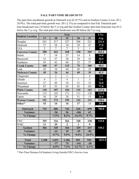#### **FALL PART-TIME HEADCOUNT**

The part-time enrollment growth in Outreach was 62 (9.7%) and in Goshen County it was -82 (- 24.9%). The total part-time growth was -20 (-2.1%) as compared to last Fall. Outreach parttime headcount was 2.8 below the 5 yr avg and the Goshen County part-time heacount was 83.2 below the 5 yr avg. The total part-time headcount was 86 below the 5 yr avg.

| <b>Student Location</b> |                | 5 Yr.          |                |                |                |        |
|-------------------------|----------------|----------------|----------------|----------------|----------------|--------|
|                         | 17             | 18             | 19             | 20             | 21             | Avg.   |
| Douglas                 | 241            | 217            | 227            | 206            | 221            | 222.4  |
| Glenrock                | 37             | 38             | 34             | 29             | 47             | 37.0   |
| <b>LEA</b>              | $\overline{2}$ | $\overline{7}$ | $\overline{7}$ | $\overline{3}$ | $\mathbf{1}$   | 4.0    |
| <b>Converse County</b>  | 280            | 262            | 268            | 238            | 269            | 263.4  |
| Hulett                  | $\overline{7}$ | 18             | 27             | 14             | 8              | 14.8   |
| Moorcroft               | 53             | 37             | 28             | 29             | 35             | 36.4   |
| Sundance                | 45             | 42             | 60             | 32             | 57             | 47.2   |
| <b>Crook County</b>     | 105            | 97             | 115            | 75             | 100            | 98.4   |
| Lusk                    | 45             | 34             | 44             | 49             | 39             | 42.2   |
| <b>Niobrara County</b>  | 45             | 34             | 44             | 49             | 39             | 42.2   |
| Chugwater               |                | $\overline{2}$ | 1              |                | $\overline{4}$ | 1.4    |
| Glendo                  | $\overline{4}$ | $\overline{3}$ | $\overline{4}$ | $\mathbf{1}$   | $\overline{5}$ | 3.4    |
| Guernsey                | 27             | 49             | 34             | 31             | 33             | 34.8   |
| Wheatland               | 87             | 53             | 65             | 83             | 101            | 77.8   |
| <b>Platte County</b>    | 118            | 107            | 104            | 115            | 143            | 117.4  |
| Newcastle               | 115            | 143            | 171            | 111            | 120            | 132.0  |
| Upton                   | 36             | 29             | 24             | 31             | 13             | 26.6   |
| <b>Weston County</b>    | 151            | 172            | 195            | 142            | 133            | 158.6  |
| Other*                  | 43             | 14             | 16             | 17             | 14             | 20.8   |
| Outreach                | 742            | 686            | 742            | 636            | 698            | 700.8  |
| Variance                |                | $-56$          | 56             | $-106$         | 62             |        |
| % Change                |                | $-7.5%$        | 8.2%           | $-14.3%$       | 9.7%           |        |
| <b>EWC</b>              | 355            | 316            | 362            | 328            | 238            | 319.8  |
| <b>WMC</b>              | 11             | 29             | $\overline{2}$ | $\mathbf{1}$   | 9              |        |
| Goshen                  | 366            | 345            | 364            | 329            | 247            | 330.2  |
| Variance                |                | $-21$          | 19             | $-35$          | $-82$          |        |
| % Change                |                | $-5.7%$        | 5.5%           | $-9.6%$        | $-24.9%$       |        |
| <b>Total</b>            | 1,108          | 1,031          | 1,106          | 965            | 945            | 1031.0 |
| Variance                |                | $-77$          | 75             | $-141$         | $-20$          |        |
| % Change                |                | $-6.9%$        | 7.3%           | $-12.7%$       | $-2.1%$        |        |

\* Part-Time Distance Ed Students Living Outside EWC's Service Area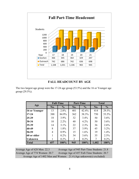

### **FALL HEADCOUNT BY AGE**

The two largest age group were the 17-24 age group (53.5%) and the 16 or Younger age group (29.5%).

|                |                | <b>Full-Time</b> |     | <b>Part-Time</b> |       | <b>Total</b>  |
|----------------|----------------|------------------|-----|------------------|-------|---------------|
| Age            | No.            | $\frac{0}{0}$    | No. | $\frac{0}{0}$    | No.   | $\frac{0}{0}$ |
| 16 or Younger  | 13             | 2.8%             | 401 | 42.4%            | 414   | 29.5%         |
| $17 - 24$      | 388            | 84.9%            | 362 | 38.3%            | 750   | 53.5%         |
| 25-29          | 18             | $3.9\%$          | 32  | 3.4%             | 50    | 3.6%          |
| $30 - 34$      | 10             | $2.2\%$          | 40  | 4.2%             | 50    | 3.6%          |
| $35-39$        | 14             | $3.1\%$          | 22  | 2.3%             | 36    | 2.6%          |
| 40-49          | 8              | 1.8%             | 37  | $3.9\%$          | 45    | $3.2\%$       |
| 50-59          | $\overline{4}$ | $0.9\%$          | 15  | $1.6\%$          | 19    | 1.4%          |
| 60 or older    |                | $0.2\%$          | 34  | $3.6\%$          | 35    | 2.5%          |
| <b>Unknown</b> |                | 0.2%             | 2   | 0.2%             | 3     | $0.2\%$       |
| <b>Total</b>   | 457            | 100%             | 945 | 100%             | 1,402 | 100%          |

Average Age of 628 Men: 22.3 Average Age of 945 Part-Time Students: 21.8 Average Age of 774 Women: 20.7 Average Age of 457 Full-Time Students: 20.7 Average Age of 1402 Men and Women: 21.4 (Age unknown(s) excluded)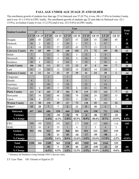#### **FALL AGE UNDER AGE 25/AGE 25 AND OLDER**

The enrollment growth of students less than age 25 in Outreach was 57 (8.7%), it was -98 (-17.8%) in Goshen County and it was -41 (-3.4%) in EWC totally. The enrollment growth of students age 25 and older in Outreach was -22 (- 15.9%), in Goshen County it was -3 (-2.5%) and it was -25 (-9.6%) in EWC totally.

|                         | Year           |                |                |                |                |                |                |                         |                |                |                     |
|-------------------------|----------------|----------------|----------------|----------------|----------------|----------------|----------------|-------------------------|----------------|----------------|---------------------|
| <b>Student Location</b> |                | 17             |                | 18             |                | 19             |                | 20                      |                | 21             | <b>Total</b><br>Var |
|                         | LT 25          | <b>GE 25</b>   | LT 25          | <b>GE 25</b>   | LT 25          | <b>GE 25</b>   | LT 25          | <b>GE 25</b>            | LT 25          | <b>GE 25</b>   |                     |
| Douglas                 | 249            | 45             | 255            | 37             | 217            | 57             | 229            | 55                      | 240            | 49             | 5                   |
| Glenrock                | 36             | $\overline{2}$ | 42             | 1              | 39             | 1              | 37             | $\overline{2}$          | 57             |                | 18                  |
| <b>LEA</b>              | 6              | 18             | 12             | 27             | 12             | 43             | $\overline{7}$ | 15                      | $\overline{2}$ | 9              | $-11$               |
| <b>Converse County</b>  | 291            | 65             | 309            | 65             | 268            | 101            | 273            | 72                      | 299            | 58             | 12                  |
| Hulett                  | $\overline{7}$ |                | 13             | 5              | 26             | 3              | 12             | $\overline{2}$          | 8              |                | $-6$                |
| Moorcroft               | 59             | 8              | 58             | $\overline{4}$ | 42             | $\overline{4}$ | 36             | $\mathbf{1}$            | 38             | $\mathbf{1}$   | $\overline{2}$      |
| Sundance                | 40             | 8              | 42             | $\overline{4}$ | 64             | 5              | 39             | $\mathbf{1}$            | 58             | 6              | 24                  |
| <b>Crook County</b>     | 106            | 16             | 113            | 13             | 132            | 12             | 87             | $\overline{\mathbf{4}}$ | 104            | $\overline{7}$ | 20                  |
| Lusk                    | 41             | 11             | 24             | 12             | 25             | 19             | 41             | 14                      | 38             | $\mathbf{1}$   | $-16$               |
| Niobrara County         | 41             | 11             | 24             | 12             | 25             | 19             | 41             | 14                      | 38             | $\mathbf{1}$   | $-16$               |
| Chugwater               |                |                | $\overline{2}$ |                | $\mathbf{1}$   |                | $\mathbf{1}$   |                         | $\overline{4}$ |                | $\mathbf{3}$        |
| Glendo                  | $\overline{4}$ |                | $\overline{3}$ |                | $\overline{4}$ |                | $\mathbf{1}$   |                         | 6              | $\mathbf{1}$   | 6                   |
| Guernsey                | 28             |                | 49             | $\overline{3}$ | 38             |                | 32             | $\overline{2}$          | 34             |                |                     |
| Wheatland               | 91             | 6              | 49             | 5              | 59             | 8              | 81             | 11                      | 99             | 6              | 13                  |
| <b>Platte County</b>    | 123            | 6              | 103            | 8              | 102            | 8              | 115            | 13                      | 143            | $\overline{7}$ | 22                  |
| Newcastle               | 87             | 34             | 103            | 46             | 106            | 70             | 104            | 20                      | 109            | 33             | 18                  |
| Upton                   | 34             | $\overline{4}$ | 27             | $\overline{3}$ | 21             | 3              | 26             | 5                       | 12             | 1              | $-18$               |
| <b>Weston County</b>    | 121            | 38             | 130            | 49             | 127            | 73             | 130            | 25                      | 121            | 34             |                     |
| Other*                  | 15             | 28             | $\overline{7}$ | $\overline{7}$ | 6              | 11             | 8              | 10                      | 6              | 9              | $-3$                |
| Outreach                | 697            | 164            | 686            | 154            | 660            | 224            | 654            | 138                     | 711            | 116            |                     |
| Variance                |                |                | $-11$          | $-10$          | $-26$          | 70             | $-6$           | $-86$                   | 57             | $-22$          | 35                  |
| % Change                |                |                | $-1.6%$        | $-6.1%$        | $-3.8%$        | 45.5%          | $-0.9%$        | $-38.4%$                | 8.7%           | $-15.9%$       | 4.4%                |
| <b>EWC</b>              | 590            | 180            | 519            | 182            | 567            | 177            | 549            | 117                     | 449            | 114            | $-103$              |
| <b>WMC</b>              | $\overline{3}$ | 16             | $\overline{4}$ | 25             |                | 4              | $\overline{2}$ | 5                       | $\overline{4}$ | 5              | $\overline{2}$      |
| Goshen                  | 593            | 196            | 523            | 207            | 568            | 181            | 551            | 122                     | 453            | 119            |                     |
| Variance                |                |                | $-70$          | 11             | 45             | $-26$          | $-17$          | $-59$                   | $-98$          | $-3$           | $-101$              |
| % Change                |                |                | $-11.8%$       | 5.6%           | 8.6%           | $-12.6%$       | $-3.0%$        | $-32.6%$                | $-17.8%$       | $-2.5%$        | $-15.0\%$           |
| <b>Total</b>            | 1290           | 360            | 1209           | 361            | 1228           | 405            | 1205           | 260                     | 1164           | 235            |                     |
| Variance                |                |                | $-81$          | 1              | 19             | 44             | $-23$          | $-145$                  | $-41$          | $-25$          | $-66$               |
| % Change                |                |                | $-6.3%$        | $0.3\%$        | 1.6%           | 12.2%          | $-1.9%$        | $-35.8%$                | $-3.4%$        | $-9.6%$        | $-4.5%$             |

\* Distance Ed Students Living Outside EWC's Service Area

LT- Less Than GE- Greater or Equal to 25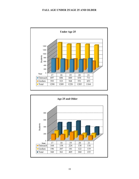#### **FALL AGE UNDER 25/AGE 25 AND OLDER**

<span id="page-11-0"></span>

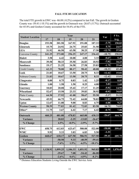#### **FALL FTE BY LOCATION**

The total FTE growth in EWC was -86.08 (-8.2%) compared to last Fall. The growth in Goshen County was -59.41 (-10.1%) and the growth in Outreach was -26.67 (-5.7%). Outreach accounted for 45.4% and Goshen County accounted for 54.6% of the FTE.

| <b>Student Location</b><br>Var<br>17<br>19<br>20<br>18<br>21                         | Avg.     |
|--------------------------------------------------------------------------------------|----------|
|                                                                                      |          |
| $-3.75$<br>201.58<br>191.08<br>187.33<br>193.58<br>167.92<br><b>Douglas</b>          | 150.83   |
| 5.75<br><b>Glenrock</b><br>24.92<br>24.75<br>31.58<br>15.75<br>25.83                 | 24.57    |
| 31.92<br>46.50<br>63.58<br>30.25<br><b>LEA</b><br>17.50<br>$-12.75$                  | 37.95    |
| 273.00<br>256.25<br>$-10.75$<br><b>Converse County</b><br>241.25<br>247.17<br>236.42 | 250.82   |
| $-0.67$<br><b>Hulett</b><br>6.42<br>10.08<br>3.33<br>3.58<br>4.00                    | 5.48     |
| $-7.92$<br>Moorcroft<br>50.33<br>35.50<br>26.83<br>18.92<br>39.58                    | 34.23    |
| 19.17<br>21.25<br>34.58<br>27.58<br>25.83<br>$-1.75$<br><b>Sundance</b>              | 25.68    |
| 78.00<br>80.17<br>48.08<br><b>Crook County</b><br>62.33<br>58.42<br>$-10.33$         | 65.40    |
| 21.83<br>10.67<br>$-12.42$<br>13.50<br>20.75<br>8.33<br>Lusk                         | 15.02    |
| 21.83<br>13.50<br>8.33<br>Nobrara County<br>10.67<br>20.75<br>$-12.42$               | 15.02    |
| $-0.17$<br>0.00<br>0.83<br>1.25<br>0.75<br>1.42<br>Chugwater                         | 0.85     |
| 3.83<br>1.00<br><b>Glendo</b><br>1.58<br>1.50<br>0.25<br>4.08                        | 1.68     |
| $-5.92$<br>10.83<br>20.08<br>15.42<br>17.17<br>11.25<br><b>Guernsey</b>              | 14.95    |
| 23.33<br>38.92<br>$-0.92$<br>Wheatland<br>52.67<br>15.50<br>39.83                    | 34.05    |
| 64.50<br>37.92<br>41.08<br>55.50<br><b>Platte County</b><br>58.67<br>$-3.17$         | 51.53    |
| 14.83<br>72.42<br><b>Newcastle</b><br>45.92<br>66.75<br>64.00<br>78.83               | 65.58    |
| $-4.08$<br>11.08<br>4.75<br><b>Upton</b><br>12.67<br>9.00<br>8.83                    | 9.27     |
| 72.83<br><b>Weston County</b><br>58.59<br>77.83<br>83.58<br>81.42<br>10.75           | 74.85    |
| Other*<br>11.75<br>3.67<br>6.42<br>6.42<br>7.17<br>$-0.75$                           | 7.08     |
| $-26.67$<br>460.25<br>465.00<br><b>Outreach</b><br>481.08<br>478.83<br>438.33        | 464.70   |
| 20.83<br>$-13.83$<br>Variance<br>$-2.25$<br>$-26.67$                                 |          |
| 4.5%<br>% Change<br>$-0.5%$<br>$-2.9%$<br>$-5.7\%$                                   |          |
| $-58.08$<br><b>EWC</b><br>580.08<br>658.75<br>612.83<br>623.67<br>522.00             | 599.47   |
| $-1.33$<br><b>WMC</b><br>5.33<br>9.92<br>3.83<br>6.83<br>5.50                        |          |
| $-59.41$<br><b>Goshen</b><br>627.50<br>668.67<br>618.17<br>586.91<br>527.50          | 605.75   |
| 9.33<br>$-40.59$<br>Variance<br>$-50.50$<br>$-59.41$                                 |          |
| $-10.1%$<br>% Change<br>$-7.6%$<br>1.5%<br>$-6.5%$                                   |          |
| $-86.08$<br>1,099.25<br><b>Total</b><br>1,128.92<br>1,106.33<br>1,051.92<br>965.83   | 1,070.45 |
| Variance<br>7.08<br>$-54.42$<br>$-86.08$<br>$-29.67$                                 |          |
| $-2.6%$<br>$0.6\%$<br>$-4.9%$<br>$-8.2\%$<br>% Change                                |          |

\* Distance Education Students Living Outside the EWC Service Area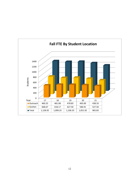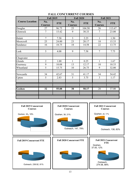|                        | <b>Fall 2019</b>      |            | <b>Fall 2020</b>      |            | <b>Fall 2021</b>      |            |  |
|------------------------|-----------------------|------------|-----------------------|------------|-----------------------|------------|--|
| <b>Course Location</b> | No.<br><b>Courses</b> | <b>FTE</b> | No.<br><b>Courses</b> | <b>FTE</b> | No.<br><b>Courses</b> | <b>FTE</b> |  |
| Douglas                | 27                    | 96.75      | 25                    | 104.50     | 26                    | 113.67     |  |
| Glenrock               | $\overline{7}$        | 15.42      | 9                     | 30.33      | $\overline{7}$        | 23.00      |  |
|                        |                       |            |                       |            |                       |            |  |
| Hulett                 | $\overline{7}$        | 7.58       | $\overline{3}$        | 2.25       | $\mathbf{1}$          | 1.50       |  |
| Moorcroft              | 25                    | 24.00      | 23                    | 20.17      | 18                    | 15.33      |  |
| Sundance               | 16                    | 18.75      | 18                    | 14.58      | 22                    | 13.75      |  |
|                        |                       |            |                       |            |                       |            |  |
| Lusk                   | 5                     | 4.08       | 9                     | 7.58       | $\overline{7}$        | 7.75       |  |
|                        |                       |            |                       |            |                       |            |  |
| Chugwater              |                       |            |                       |            |                       |            |  |
| Glendo                 | $\overline{2}$        | 1.00       | 1                     | 0.25       | 1                     | 1.67       |  |
| Guernsey               | 9                     | 10.08      | 13                    | 12.17      | 10                    | 10.33      |  |
| Wheatland              | 5                     | 15.75      | 10                    | 26.75      | 9                     | 32.00      |  |
|                        |                       |            |                       |            |                       |            |  |
| Newcastle              | 34                    | 42.67      | 31                    | 41.17      | 34                    | 54.42      |  |
| Upton                  | 5                     | 2.83       | 5                     | 3.75       | 3                     | 1.17       |  |
|                        |                       |            |                       |            |                       |            |  |
|                        |                       |            |                       |            |                       |            |  |
| Goshen                 | 32                    | 55.08      | 38                    | 50.17      | 28                    | 37.00      |  |
|                        |                       |            |                       |            |                       |            |  |
|                        |                       |            |                       |            |                       |            |  |

## **FALL CONCURRENT COURSES**

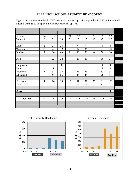#### **FALL HIGH SCHOOL STUDENT HEADCOUNT**

High school students enrolled in EWC credit classes went up 188 compared to Fall 2020. Full-time HS students went up 20 and part-time HS students went up 168.

| Douglas   | 16             | 167            | 183            | 24             | 127          | 151          | 28             | 178            | 206            |  |
|-----------|----------------|----------------|----------------|----------------|--------------|--------------|----------------|----------------|----------------|--|
| Glenrock  | 6              | 33             | 39             | $\overline{2}$ | 15           | 17           | 10             | 47             | 57             |  |
|           |                |                |                |                |              |              |                |                |                |  |
| Hulett    | $\overline{2}$ | 24             | 26             |                | 6            | 6            |                | 8              | 8              |  |
| Moorcroft | 17             | 25             | 42             | $\tau$         | 27           | 34           | $\overline{4}$ | 34             | 38             |  |
| Sundance  | 9              | 54             | 63             | 8              | 30           | 38           | 6              | 50             | 56             |  |
|           |                |                |                |                |              |              |                |                |                |  |
| Lusk      |                | 22             | 22             |                | 20           | 20           |                | 38             | 38             |  |
|           |                |                |                |                |              |              |                |                |                |  |
| Chugwater |                | $\mathbf{1}$   | $\mathbf{1}$   |                |              |              |                | $\overline{4}$ | $\overline{4}$ |  |
| Glendo    |                | $\overline{4}$ | $\overline{4}$ |                |              |              |                | $\overline{4}$ | $\overline{4}$ |  |
| Guernsey  | $\overline{2}$ | 32             | 34             |                | 25           | 25           | $\mathbf{1}$   | 33             | 34             |  |
| Wheatland |                | 56             | 56             |                | 44           | 44           |                | 96             | 96             |  |
|           |                |                |                |                |              |              |                |                |                |  |
| Newcastle | $\overline{4}$ | 94             | 98             | 10             | 81           | 91           | 20             | 81             | 101            |  |
| Upton     |                | 21             | 21             |                | 19           | 19           |                | 12             | 12             |  |
|           |                |                |                |                |              |              |                |                |                |  |
| Other     |                |                |                |                | $\mathbf{1}$ | $\mathbf{1}$ |                | $\mathbf{1}$   | $\mathbf{1}$   |  |
|           |                |                |                |                |              |              |                |                |                |  |
| Goshen    | 14             | 162            | 176            | 11             | 136          | 147          | 13             | 113            | 126            |  |
|           |                |                |                |                |              |              |                |                |                |  |
|           |                |                |                |                |              |              |                |                |                |  |



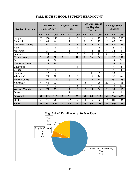| <b>Student Location</b> | Concurrent<br><b>Courses Only</b> |                |                | <b>Regular Courses</b><br>Only |                |                         | <b>Both Concurrent</b><br>and Regular<br><b>Courses</b> |                 |                | <b>All High School</b><br><b>Students</b> |           |                |
|-------------------------|-----------------------------------|----------------|----------------|--------------------------------|----------------|-------------------------|---------------------------------------------------------|-----------------|----------------|-------------------------------------------|-----------|----------------|
|                         | <b>FT</b>                         | PT             | <b>Total</b>   | <b>FT</b>                      | PT             | <b>Total</b>            | <b>FT</b>                                               | <b>PT</b>       | <b>Total</b>   | <b>FT</b>                                 | <b>PT</b> | <b>Total</b>   |
| Douglas                 | 25                                | 160            | 185            |                                | $\overline{2}$ | $\overline{2}$          | $\overline{3}$                                          | 16              | 19             | 28                                        | 178       | 206            |
| Glenrock                | 1                                 | 43             | 44             |                                | $\mathbf{1}$   | 1                       | 9                                                       | 3               | 12             | 10                                        | 47        | 57             |
| <b>Converse County</b>  | 26                                | 203            | 229            |                                | $\mathbf{3}$   | $\overline{\mathbf{3}}$ | 12                                                      | 19              | 31             | 38                                        | 225       | 263            |
| Hulett                  |                                   | $\overline{2}$ | $\overline{2}$ |                                | $\overline{2}$ | $\overline{2}$          |                                                         | $\overline{4}$  | $\overline{4}$ |                                           | 8         | 8              |
| Moorcroft               | $\mathbf{1}$                      | 21             | 22             |                                | 1              | 1                       | 3                                                       | 12              | 15             | 4                                         | 34        | 38             |
| Sundance                |                                   | 34             | 34             | 1                              | 6              | $\overline{7}$          | 5                                                       | 10              | 15             | 6                                         | 50        | 56             |
| <b>Crook County</b>     | $\mathbf{1}$                      | 57             | 58             | $\mathbf{1}$                   | 9              | 10                      | 8                                                       | 26              | 34             | 10                                        | 92        | 102            |
| Lusk                    |                                   | 38             | 38             |                                |                |                         |                                                         |                 |                |                                           | 38        | 38             |
| <b>Niobrara County</b>  |                                   | 38             | 38             |                                |                |                         |                                                         |                 |                |                                           | 38        | 38             |
| Chugwater               |                                   |                |                |                                | $\overline{4}$ | $\overline{4}$          |                                                         |                 |                |                                           | 4         | $\overline{4}$ |
| Glendo                  |                                   | 4              | $\overline{4}$ |                                |                |                         |                                                         |                 |                |                                           | 4         | $\overline{4}$ |
| Guernsey                |                                   | 32             | 32             |                                |                |                         | $\mathbf{1}$                                            | 1               | $\overline{2}$ | 1                                         | 33        | 34             |
| Wheatland               |                                   | 78             | 78             |                                | $\overline{2}$ | $\overline{2}$          |                                                         | 16              | 16             |                                           | 96        | 96             |
| <b>Platte County</b>    |                                   | 114            | 114            |                                | 6              | 6                       | 1                                                       | 17              | 18             | 1                                         | 137       | 138            |
| Newcastle               | $\overline{4}$                    | 68             | 72             |                                |                |                         | 16                                                      | 13              | 29             | 20                                        | 81        | 101            |
| Upton                   |                                   | 5              | 5              |                                | $\overline{2}$ | $\overline{2}$          |                                                         | 5               | 5              |                                           | 12        | 12             |
| <b>Weston County</b>    | 4                                 | 73             | 77             |                                | $\overline{2}$ | $\overline{2}$          | 16                                                      | 18              | 34             | 20                                        | 93        | 113            |
| Other*                  |                                   |                |                |                                | 1              | $\mathbf{1}$            |                                                         |                 |                |                                           | 1         | 1              |
| Outreach                | 31                                | 485            | 516            | 1                              | 21             | 22                      | 37                                                      | 80              | 117            | 69                                        | 586       | 655            |
| Goshen                  | $\overline{2}$                    | 76             | 78             |                                | 22             | 22                      | 11                                                      | 15              | 26             | 13                                        | 113       | 126            |
| <b>Total</b>            | $\overline{33}$                   | 561            | 594            |                                | 43             | 44                      | 48                                                      | $\overline{95}$ | 143            | 82                                        | 699       | 781            |

#### **FALL HIGH SCHOOL STUDENT HEADCOUNT**

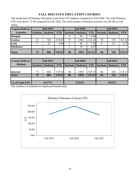## **FALL DISTANCE EDUCATION COURSES**

The headcount of Distance Education went down 335 students compared to Fall 2020. The total Distance FTE went down 73.50 compared to Fall 2020. The total number of distance sections was 84 (88 in Fall 2020).

| <b>Course Delivery</b> |                 | <b>Fall 2019</b> |            |    | <b>Fall 2020</b>         |            | <b>Fall 2021</b>      |                 |            |  |
|------------------------|-----------------|------------------|------------|----|--------------------------|------------|-----------------------|-----------------|------------|--|
| <b>Location</b>        | <b>Sections</b> | <b>Students</b>  | <b>FTE</b> |    | <b>Sections Students</b> | <b>FTE</b> | Sections <sup>1</sup> | <b>Students</b> | <b>FTE</b> |  |
| <b>Douglas</b>         |                 |                  |            |    | 39                       | 13.00      |                       |                 |            |  |
| Goshen                 | 67              | 784              | 174.83     | 75 | 1002                     | 222.42     | 78                    | 725             | 167.42     |  |
| Lusk                   |                 | 22               | 4.08       |    | 40                       | 7.58       | $\mathfrak b$         | 35              | 6.75       |  |
| <b>Sundance</b>        |                 |                  |            |    | 14                       | 4.67       |                       |                 |            |  |
| <b>Total</b>           | 72              | 806              | 178.91     | 88 | 1095                     | 247.67     | 84                    | 760             | 174.17     |  |

| <b>Course Delivery</b> |    | <b>Fall 2019</b>             |            |    | <b>Fall 2020</b>  |            | <b>Fall 2021</b> |                 |            |  |
|------------------------|----|------------------------------|------------|----|-------------------|------------|------------------|-----------------|------------|--|
| <b>Method</b>          |    | <b>Sections   Students  </b> | <b>FTE</b> |    | Sections Students | <b>FTE</b> | Sections         | <b>Students</b> | <b>FTE</b> |  |
|                        |    |                              |            |    |                   |            |                  |                 |            |  |
| Internet               | 72 | 806                          | 178.91     | 88 | 1095              | 247.67     | 84               | 760             | 174.17     |  |
| <b>Total</b>           |    | 806                          | 178.91     | 88 | 1095              | 247.67     | 84               | 760             | 174.17     |  |
|                        |    |                              |            |    |                   |            |                  |                 |            |  |
| % of Total FTE         |    | 16.17%                       |            |    | 23.54%            |            |                  | 18.03%          |            |  |

The numbers of students are duplicated headcounts

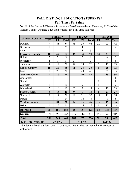## **FALL DISTANCE EDUCATION STUDENTS\* Full-Time / Part-time**

70.1% of the Outreach Distance Students are Part-Time students. However, 66.5% of the Goshen County Distance Education students are Full-Time students.

|                         |                | <b>Fall 2019</b> |                |                  | <b>Fall 2020</b> |              |                | <b>Fall 2021</b> |                |
|-------------------------|----------------|------------------|----------------|------------------|------------------|--------------|----------------|------------------|----------------|
| <b>Student Location</b> | <b>FT</b>      | PT               | <b>Total</b>   | <b>FT</b>        | PT               | <b>Total</b> | <b>FT</b>      | PT               | <b>Total</b>   |
| Douglas                 | 9              | 45               | 54             | 36               | 30               | 66           | 20             | 22               | 42             |
| Glenrock                | $\mathbf{1}$   | $\mathbf{1}$     | $\overline{2}$ |                  | $\mathbf{1}$     | $\mathbf{1}$ | 8              | $\mathbf{1}$     | 9              |
| <b>LEA</b>              |                | $\mathbf{1}$     | $\mathbf{1}$   |                  | 3                | 3            |                |                  |                |
| <b>Converse County</b>  | 10             | 47               | 57             | 36               | 34               | 70           | 28             | 23               | 51             |
| Hulett                  | $\overline{2}$ | 7                | 9              |                  | 6                | 6            |                | 6                | 6              |
| Moorcroft               | $\overline{4}$ | $\mathbf{1}$     | 5              | 3                |                  | 3            |                | 3                | 3              |
| Sundance                | 9              | 12               | 21             | 8                | 18               | 26           | 6              | 17               | 23             |
| <b>Crook County</b>     | 15             | 20               | 35             | 11               | 24               | 35           | 6              | 26               | 32             |
| Lusk                    | $\mathbf{1}$   | 20               | 21             |                  | 40               | 40           |                | 35               | 35             |
| <b>Niobrara County</b>  | $\mathbf{1}$   | 20               | 21             |                  | 40               | 40           |                | 35               | 35             |
| Chugwater               |                | $\mathbf{1}$     | $\mathbf{1}$   | $\mathbf{1}$     |                  | $\mathbf{1}$ |                | $\mathbf{1}$     | $\mathbf{1}$   |
| Glendo                  |                |                  |                |                  |                  |              | $\mathbf{1}$   |                  | $\mathbf{1}$   |
| Guernsey                | $\mathbf{1}$   | $\overline{7}$   | 8              | $\mathbf{1}$     | $\overline{2}$   | 3            | $\mathbf{1}$   | $\mathbf{1}$     | $\overline{2}$ |
| Wheatland               | $\overline{2}$ | 10               | 12             | $\overline{7}$   | $\overline{7}$   | 14           | $\overline{4}$ | 19               | 23             |
| <b>Platte County</b>    | $\overline{3}$ | 18               | 21             | $\boldsymbol{9}$ | 9                | 18           | 6              | 21               | 27             |
| Newcastle               | 5              | 17               | 22             | 12               | 21               | 33           | 17             | 11               | 28             |
| Upton                   |                | 14               | 14             |                  | 14               | 14           |                | 8                | 8              |
| <b>Weston County</b>    | 5              | 31               | 36             | 12               | 35               | 47           | 17             | 19               | 36             |
| Other                   | $\mathbf{1}$   | 15               | 16             |                  | 15               | 15           | $\mathbf{1}$   | 12               | 13             |
| Outreach                | 35             | 151              | 186            | 68               | 157              | 225          | 58             | 136              | 194            |
| Goshen                  | 171            | 92               | 263            | 219              | 112              | 331          | 143            | 72               | 215            |
| <b>Total</b>            | 206            | 243              | 449            | 287              | 269              | 556          | 201            | 208              | 409            |
| % of Total Students     |                | 27.46%           |                |                  | 37.87%           |              |                | 29.17%           |                |

\*Students who take at least one DL course, no matter whether they take FF courses as well or not.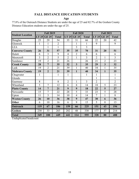# **FALL DISTANCE EDUCATION STUDENTS**

**Age** 

77.8% of the Outreach Distance Students are under the age of 25 and 82.7% of the Goshen County Distance Education students are under the age of 25.

|                         |              | <b>Fall 2019</b> |                |                | <b>Fall 2020</b>        |                |                | <b>Fall 2021</b>        |                |
|-------------------------|--------------|------------------|----------------|----------------|-------------------------|----------------|----------------|-------------------------|----------------|
| <b>Student Location</b> | LT 25        | <b>GE 25</b>     | <b>Total</b>   | LT 25          | <b>GE 25</b>            | <b>Total</b>   | LT 25          | <b>GE 25</b>            | <b>Total</b>   |
| Douglas                 | 25           | 29               | 54             | 35             | 31                      | 66             | 22             | 20                      | 42             |
| Glenrock                | $\mathbf{1}$ | $\mathbf{1}$     | $\overline{2}$ |                | $\mathbf{1}$            | $\mathbf{1}$   | 9              |                         | 9              |
| <b>LEA</b>              |              | $\mathbf{1}$     | $\mathbf{1}$   |                | $\overline{3}$          | $\overline{3}$ |                |                         |                |
| <b>Converse County</b>  | 26           | 31               | 57             | 35             | 35                      | 70             | 31             | 20                      | 51             |
| Hulett                  | 6            | 3                | 9              | $\overline{4}$ | $\overline{2}$          | 6              | 6              |                         | 6              |
| Moorcroft               | 3            | $\overline{2}$   | 5              | $\overline{2}$ | $\mathbf{1}$            | $\overline{3}$ | $\overline{2}$ | $\mathbf{1}$            | $\overline{3}$ |
| Sundance                | 19           | $\overline{2}$   | 21             | 26             |                         | 26             | 21             | $\overline{2}$          | 23             |
| <b>Crook County</b>     | 28           | 7                | 35             | 32             | $\overline{\mathbf{3}}$ | 35             | 29             | $\overline{\mathbf{3}}$ | 32             |
| Lusk                    | 19           | $\overline{2}$   | 21             | 39             | $\mathbf{1}$            | 40             | 34             | $\mathbf{1}$            | 35             |
| <b>Niobrara County</b>  | 19           | $\overline{2}$   | 21             | 39             | $\mathbf{1}$            | 40             | 34             | $\mathbf{1}$            | 35             |
| Chugwater               | $\mathbf{1}$ |                  | $\mathbf{1}$   | $\mathbf{1}$   |                         | $\mathbf{1}$   | $\mathbf{1}$   |                         | $\mathbf{1}$   |
| Glendo                  |              |                  |                |                |                         |                | $\mathbf{1}$   |                         | $\mathbf{1}$   |
| Guernsey                | 8            |                  | 8              | $\overline{2}$ | 1                       | $\overline{3}$ | $\overline{2}$ |                         | $\overline{2}$ |
| Wheatland               | 5            | $\overline{7}$   | 12             | 6              | 8                       | 14             | 18             | 5                       | 23             |
| <b>Platte County</b>    | 14           | 7                | 21             | 9              | 9                       | 18             | 22             | 5                       | 27             |
| Newcastle               | 15           | 7                | 22             | 28             | 5                       | 33             | 23             | 5                       | 28             |
| Upton                   | 11           | 3                | 14             | 10             | $\overline{4}$          | 14             | 7              | $\mathbf{1}$            | 8              |
| <b>Weston County</b>    | 26           | 10               | 36             | 38             | 9                       | 47             | 30             | 6                       | 36             |
| Other                   | 6            | 10               | 16             | 6              | 9                       | 15             | 5              | 8                       | 13             |
| Outreach                | 119          | 67               | 186            | 159            | 66                      | 225            | 151            | 43                      | 194            |
| Goshen                  | 230          | 33               | 263            | 282            | 48                      | 330            | 177            | 37                      | 214            |
| <b>Total</b>            | 349          | 100              | 449            | 441            | 114                     | 555            | 328            | 80                      | 408            |

Unduplicated headcount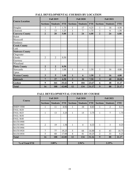| <b>Course Location</b> |                 | <b>Fall 2019</b> |            |                 | <b>Fall 2020</b> |            | <b>Fall 2021</b> |                 |            |  |
|------------------------|-----------------|------------------|------------|-----------------|------------------|------------|------------------|-----------------|------------|--|
|                        | <b>Sections</b> | <b>Students</b>  | <b>FTE</b> | <b>Sections</b> | <b>Students</b>  | <b>FTE</b> | <b>Sections</b>  | <b>Students</b> | <b>FTE</b> |  |
| Douglas                | 1               | 7                | 1.75       | 1               | 17               | 4.25       | 1                | 18              | 4.50       |  |
| Glenrock               | 1               | 13               | 3.25       | 1               | 7                | 1.75       | 1                | 6               | 1.50       |  |
| <b>Converse County</b> | $\overline{2}$  | 20               | 5.00       | $\overline{2}$  | 24               | 6.00       | $\overline{2}$   | 24              | 6.00       |  |
| Hulett                 |                 |                  |            |                 |                  |            |                  |                 |            |  |
| Moorcroft              |                 |                  |            |                 |                  |            |                  |                 |            |  |
| Sundance               |                 |                  |            |                 |                  |            |                  |                 |            |  |
| <b>Crook County</b>    |                 |                  |            |                 |                  |            |                  |                 |            |  |
| Lusk                   |                 |                  |            |                 |                  |            |                  |                 |            |  |
| <b>Niobrara County</b> |                 |                  |            |                 |                  |            |                  |                 |            |  |
| Chugwater              |                 |                  |            |                 |                  |            |                  |                 |            |  |
| Glendo                 | 2               | $\overline{2}$   | 0.50       |                 |                  |            |                  |                 |            |  |
| Guernsey               |                 |                  |            |                 |                  |            |                  |                 |            |  |
| Wheatland              |                 |                  |            |                 |                  |            |                  |                 |            |  |
| <b>Platte County</b>   | $\overline{2}$  | $\overline{2}$   | 0.50       |                 |                  |            |                  |                 |            |  |
| Newcastle              | 3               | 5                | 1.08       | 1               | 6                | 1.50       | 1                | 16              | 4.00       |  |
| Upton                  |                 |                  |            |                 |                  |            |                  |                 |            |  |
| <b>Weston County</b>   | 3               | 5                | 1.08       | $\mathbf{1}$    | 6                | 1.50       | $\mathbf{1}$     | 16              | 4.00       |  |
| Outreach               | 7               | 27               | 6.58       | 3               | 30               | 7.50       | $\mathbf{3}$     | 40              | 10.00      |  |
| Goshen                 | 9               | 161              | 35.42      | 9               | 104              | 23.67      | 6                | 48              | 11.17      |  |
| <b>Total</b>           | 16              | 188              | 42.00      | 12              | 134              | 31.17      | 9                | 88              | 21.17      |  |

## **FALL DEVELOPMENTAL COURSES BY LOCATION**

## **FALL DEVELOPMENTAL COURSES BY COURSE**

| Course           | <b>Fall 2019</b> |                 |            |                 | <b>Fall 2020</b> |            | <b>Fall 2021</b> |                 |            |  |
|------------------|------------------|-----------------|------------|-----------------|------------------|------------|------------------|-----------------|------------|--|
|                  | <b>Sections</b>  | <b>Students</b> | <b>FTE</b> | <b>Sections</b> | <b>Students</b>  | <b>FTE</b> | <b>Sections</b>  | <b>Students</b> | <b>FTE</b> |  |
| <b>HMDV 0500</b> |                  | 11              | 0.92       | 1               | 10               | 0.83       | 1                | 2               | 0.17       |  |
| <b>ENGL 0620</b> |                  |                 |            |                 |                  |            |                  |                 |            |  |
| <b>ENGL 0625</b> |                  | 13              | 3.25       |                 | 15               | 3.75       |                  | 7               | 1.75       |  |
| <b>ENGL 0630</b> |                  |                 |            |                 |                  |            |                  |                 |            |  |
| <b>ENGL 0640</b> |                  |                 |            |                 |                  |            |                  |                 |            |  |
| <b>MATH 0900</b> |                  |                 |            |                 |                  |            |                  |                 |            |  |
| <b>MATH 0903</b> | 2                | 19              | 1.58       |                 | 4                | 0.33       | 1                | 3               | 0.25       |  |
| <b>MATH 0906</b> |                  |                 |            |                 |                  |            |                  |                 |            |  |
| <b>MATH 0920</b> | 7                | 77              | 19.25      | 5               | 64               | 16.00      | $\overline{4}$   | 43              | 10.75      |  |
| <b>MATH 0930</b> | 5                | 68              | 17.00      | $\overline{4}$  | 41               | 10.25      | 2                | 33              | 8.25       |  |
| <b>Total</b>     | 16               | 188             | 42.00      | 12              | 134              | 31.16      | 9                | 88              | 21.17      |  |
|                  |                  |                 |            |                 |                  |            |                  |                 |            |  |
| % of Total FTE   |                  | 3.80%           |            |                 | 2.96%            |            |                  | 2.19%           |            |  |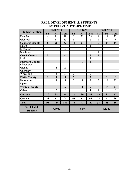|                               |                         | <b>Fall 2019</b>        |                         |                 | <b>Fall 2020</b>        |                | <b>Fall 2021</b> |                |                 |  |
|-------------------------------|-------------------------|-------------------------|-------------------------|-----------------|-------------------------|----------------|------------------|----------------|-----------------|--|
| <b>Student Location</b>       | <b>FT</b>               | PT                      | <b>Total</b>            | <b>FT</b>       | PT                      | <b>Total</b>   | <b>FT</b>        | PT             | <b>Total</b>    |  |
| Douglas                       | $\overline{4}$          | 15                      | 19                      | 5               | 23                      | 28             | $\overline{4}$   | 19             | 23              |  |
| Glenrock                      | $\overline{2}$          | $\overline{11}$         | $\overline{13}$         | $\overline{6}$  |                         | 6              | $\overline{2}$   | $\overline{4}$ | 6               |  |
| <b>Converse County</b>        | 6                       | 26                      | 32                      | 11              | 23                      | 34             | 6                | 23             | 29              |  |
| Hulett                        |                         |                         |                         |                 | $\mathbf{1}$            | $\mathbf{1}$   |                  |                |                 |  |
| Moorcroft                     | 3                       |                         | $\overline{3}$          |                 |                         |                |                  |                |                 |  |
| Sundance                      |                         | $\mathbf{1}$            | 1                       |                 |                         |                | 1                |                | 1               |  |
| <b>Crook County</b>           | $\overline{\mathbf{3}}$ | 1                       | $\overline{\mathbf{4}}$ |                 | $\mathbf{1}$            | $\mathbf{1}$   | $\mathbf{1}$     |                | $\mathbf{1}$    |  |
| Lusk                          |                         |                         |                         |                 | $\overline{1}$          | $\overline{1}$ |                  |                |                 |  |
| <b>Niobrara County</b>        |                         |                         |                         |                 | $\mathbf{1}$            | $\mathbf{1}$   |                  |                |                 |  |
| Chugwater                     |                         |                         |                         |                 |                         |                |                  | 1              | 1               |  |
| Glendo                        |                         | $\overline{2}$          | $\overline{2}$          |                 |                         |                |                  |                |                 |  |
| Guernsey                      |                         |                         |                         |                 |                         |                |                  |                |                 |  |
| Wheatland                     | $\mathbf{1}$            | $\overline{2}$          | $\overline{3}$          | $\overline{2}$  |                         | $\overline{2}$ |                  | $\overline{1}$ | $\mathbf{1}$    |  |
| <b>Platte County</b>          | $\mathbf{1}$            | $\overline{\mathbf{4}}$ | 5                       | $\overline{2}$  |                         | $\overline{2}$ |                  | $\overline{2}$ | $\overline{2}$  |  |
| Newcastle                     |                         | $\overline{5}$          | 5                       | $\overline{3}$  | $\overline{4}$          | $\overline{7}$ | $\overline{5}$   | 18             | 23              |  |
| Upton                         |                         |                         |                         |                 |                         |                |                  |                |                 |  |
| <b>Weston County</b>          |                         | 5                       | 5                       | 3               | $\overline{\mathbf{4}}$ | $\overline{7}$ | 5                | 18             | 23              |  |
| Other                         |                         | $\overline{2}$          | $\overline{2}$          |                 | 1                       | $\mathbf{1}$   | 1                | 1              | $\overline{2}$  |  |
| <b>Outreach</b>               | 10                      | 38                      | 48                      | $\overline{16}$ | $\overline{30}$         | 46             | 13               | 44             | $\overline{57}$ |  |
| Goshen                        | 83                      | 11                      | 94                      | 55              | 11                      | 66             | 25               | 4              | 29              |  |
| <b>Total</b>                  | 93                      | 49                      | 142                     | $\overline{71}$ | 41                      | 112            | 38               | 48             | 86              |  |
| % of Total<br><b>Students</b> |                         | 8.69%                   |                         |                 | 7.63%                   |                |                  | 6.13%          |                 |  |

## **FALL DEVELOPMENTAL STUDENTS BY FULL-TIME/PART-TIME**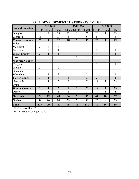|                         |                | <b>Fall 2019</b>        |                         |              | <b>Fall 2020</b> |                |                | <b>Fall 2021</b> |                  |
|-------------------------|----------------|-------------------------|-------------------------|--------------|------------------|----------------|----------------|------------------|------------------|
| <b>Student Location</b> | LT 25          | <b>GE 25</b>            | <b>Total</b>            | LT 25        | <b>GE 25</b>     | <b>Total</b>   | LT 25          | <b>GE 25</b>     | <b>Total</b>     |
| Douglas                 | 10             | 9                       | 19                      | 22           | 5                | 27             | 20             | 3                | 23               |
| Glenrock                | 13             |                         | 13                      | 6            |                  | 6              | 6              |                  | 6                |
| <b>Converse County</b>  | 23             | 9                       | 32                      | 28           | 5                | 33             | 26             | $\overline{3}$   | 29               |
| Hulett                  |                |                         |                         |              | 1                | 1              |                |                  |                  |
| Moorcroft               | $\overline{2}$ | $\mathbf{1}$            | $\overline{3}$          |              |                  |                |                |                  |                  |
| Sundance                |                | $\mathbf{1}$            | $\mathbf{1}$            |              |                  |                | $\mathbf{1}$   |                  | $\mathbf{1}$     |
| <b>Crook County</b>     | $\overline{2}$ | $\overline{2}$          | $\overline{\mathbf{4}}$ |              | 1                | $\mathbf{1}$   | $\mathbf{1}$   |                  | $\mathbf{1}$     |
| Lusk                    |                |                         |                         |              | $\mathbf{1}$     | 1              |                |                  |                  |
| <b>Niobrara County</b>  |                |                         |                         |              | $\mathbf{1}$     | $\mathbf{1}$   |                |                  |                  |
| Chugwater               |                |                         |                         |              |                  |                | 1              |                  | 1                |
| Glendo                  | $\overline{2}$ |                         | $\overline{2}$          |              |                  |                |                |                  |                  |
| Guernsey                |                |                         |                         |              |                  |                |                |                  |                  |
| Wheatland               | $\mathbf{1}$   | $\overline{2}$          | $\overline{3}$          | $\mathbf{1}$ | $\mathbf{1}$     | $\overline{2}$ | $\mathbf{1}$   |                  | $\mathbf{1}$     |
| <b>Platte County</b>    | $\overline{3}$ | $\overline{2}$          | 5                       | $\mathbf{1}$ | $\mathbf{1}$     | $\overline{2}$ | $\overline{2}$ |                  | $\overline{2}$   |
| Newcastle               | $\mathbf{1}$   | 4                       | 5                       | 6            | $\mathbf{1}$     | 7              | 18             | 5                | 23               |
| Upton                   |                |                         |                         |              |                  |                |                |                  |                  |
| <b>Weston County</b>    | $\mathbf{1}$   | $\overline{\mathbf{4}}$ | 5                       | 6            | $\mathbf{1}$     | $\overline{7}$ | 18             | 5                | 23               |
| Other                   |                | $\overline{2}$          | $\overline{2}$          | $\mathbf{1}$ |                  | $\mathbf{1}$   |                | $\overline{2}$   | $\boldsymbol{2}$ |
| Outreach                | 29             | 19                      | 48                      | 36           | 9                | 45             | 47             | 10               | 57               |
| Goshen                  | 84             | 10                      | 94                      | 59           | 7                | 66             | 23             | 6                | 29               |
| <b>Total</b>            | 113            | 29                      | 142                     | 95           | 16               | 111            | 70             | 16               | 86               |

## **FALL DEVELOPMENTAL STUDENTS BY AGE**

LT 25 - Less Than 25

GE 25 - Greater or Equal to 25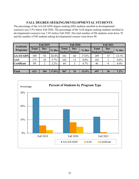#### **FALL DEGREE-SEEKING/DEVELOPMENTAL STUDENTS**

The percentage of the AA/AS/ADN degree-seeking (DS) students enrolled in developmental course(s) was 5.5% below Fall 2020. The percentage of the AAS degree-seeking students enrolled in developmental course(s) was 7.4% below Fall 2020. The total number of DS students went down 70 and the number of DS students taking developmental courses went down 40.

|                    | <b>Fall 2019</b><br>Academic    |                |       |                                 | <b>Fall 2020</b> |         | <b>Fall 2021</b>                         |          |         |  |
|--------------------|---------------------------------|----------------|-------|---------------------------------|------------------|---------|------------------------------------------|----------|---------|--|
| <b>Programs</b>    | <b>Total</b><br>Student Student | <b>Dev</b>     | % Dev | <b>Total</b><br>Student Student | Dev              | $%$ Dev | <b>Total</b><br><b>Students Students</b> | Dev      | $%$ Dev |  |
| AA/AS/ADN.         | 349                             | 92             | 26.4% | 341                             | 60               | 17.6%   | 289                                      | 35       | 12.1%   |  |
| <b>AAS</b>         | 175                             | 10             | 5.7%  | 162                             | 13               | 8.0%    | 162                                      |          | 0.6%    |  |
| <b>Certificate</b> | 89                              | $\overline{2}$ | 2.2%  | 64                              | 3                | 4.7%    | 46                                       | $\theta$ | $0.0\%$ |  |
|                    |                                 |                |       |                                 |                  |         |                                          |          |         |  |
| <b>Total</b>       | 613                             | 104            | 17.0% | 567                             | 76               | 13.4%   | 497                                      | 36       | $7.2\%$ |  |

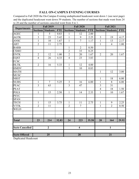## **FALL ON-CAMPUS EVENING COURSES**

Compared to Fall 2020 the On-Campus Evening unduplicated headcount went down 1 (see next page) and the duplicated headcount went down 59 students. The number of sections that made went from 24 to 20 and the number of sections canceled went from 4 to 1.

|                        | <b>Fall 2019</b> |                 |            |                 | <b>Fall 2020</b>        |            | <b>Fall 2021</b> |                          |            |
|------------------------|------------------|-----------------|------------|-----------------|-------------------------|------------|------------------|--------------------------|------------|
| <b>Departments</b>     | <b>Sections</b>  | <b>Students</b> | <b>FTE</b> | <b>Sections</b> | <b>Students</b>         | <b>FTE</b> |                  | <b>Sections Students</b> | <b>FTE</b> |
| <b>AGEC</b>            | $\mathbf{1}$     | 5               | 0.83       | $\mathbf{1}$    | 12                      | 2.00       |                  |                          |            |
| <b>AGTK</b>            | 3                | 23              | 5.42       | $\mathbf{1}$    | 9                       | 2.25       | $\overline{3}$   | 19                       | 4.17       |
| ANSC                   | $\mathbf{1}$     | 10              | 1.67       | $\mathbf{1}$    | $\overline{7}$          | 1.17       | $\mathbf{1}$     | 13                       | 2.17       |
| $\overline{ART}$       | $\overline{2}$   | 11              | 2.75       |                 |                         |            | $\mathbf{1}$     | $\overline{4}$           | 1.00       |
| <b>BARB</b>            |                  |                 |            | $\mathbf{1}$    | $\overline{2}$          | 0.50       |                  |                          |            |
| <b>CSMO</b>            |                  |                 |            | $\overline{2}$  | 33                      | 8.25       |                  |                          |            |
| <b>ENTK</b>            | $\overline{2}$   | 12              | 1.00       | $\overline{2}$  | 20                      | 1.67       | $\overline{2}$   | 20                       | 1.67       |
| <b>EQST</b>            | $\overline{4}$   | 26              | 4.33       | $\overline{4}$  | 23                      | 3.83       |                  |                          |            |
| FCSC                   |                  |                 |            |                 |                         |            |                  |                          |            |
| <b>HLTK</b>            | $\overline{2}$   | 16              | 5.33       | $\mathbf{1}$    | 12                      | 4.00       |                  |                          |            |
| <b>HMDV</b>            |                  |                 |            | $\mathbf{1}$    | 10                      | 0.83       |                  |                          |            |
| <b>MATH</b>            |                  |                 |            |                 |                         |            | $\mathbf{1}$     | 12                       | 3.00       |
| <b>MUSC</b>            |                  |                 |            |                 |                         |            |                  |                          |            |
| <b>NRST</b>            |                  |                 |            |                 |                         |            | $\mathbf{1}$     | 18                       | 6.00       |
| <b>NURS</b>            | $\mathbf{1}$     | $\tau$          | 5.25       | $\overline{3}$  | 16                      | 6.00       | $\mathbf{1}$     | $8\,$                    | 6.00       |
| PEAC                   | $\overline{3}$   | 63              |            | $\overline{3}$  | 47                      |            | 3                | 31                       |            |
| <b>PEAT</b>            |                  |                 |            |                 |                         |            | $\overline{4}$   | 18                       | 1.50       |
| <b>POLS</b>            | $\mathbf{1}$     | 15              | 2.50       | $\mathbf{1}$    | 14                      | 2.33       | $\mathbf{1}$     | 10                       | 1.67       |
| <b>PSYC</b>            |                  |                 |            |                 |                         |            |                  |                          |            |
| <b>SPAN</b>            |                  |                 |            |                 |                         |            |                  |                          |            |
| <b>TECH</b>            | 1                | 15              | 3.75       | 1               | 11                      | 2.75       | $\mathbf{1}$     | 9                        | 2.25       |
| <b>VTTK</b>            | $\overline{2}$   | 11              |            | $\overline{2}$  | $\overline{7}$          |            | $\mathbf{1}$     | $\overline{2}$           | 0.50       |
| <b>WELD</b>            |                  |                 |            |                 |                         |            |                  |                          |            |
|                        |                  |                 |            |                 |                         |            |                  |                          |            |
|                        |                  |                 |            |                 |                         |            |                  |                          |            |
| <b>Total</b>           | 23               | 214             | 32.83      | 24              | 223                     | 35.58      | 20               | 164                      | 29.92      |
| <b>Sects Cancelled</b> |                  | $\overline{2}$  |            |                 | $\overline{\mathbf{4}}$ |            |                  | $\mathbf{1}$             |            |
|                        |                  | 25              |            |                 | 28                      |            |                  | 21                       |            |
| <b>Sects Offered</b>   |                  |                 |            |                 |                         |            |                  |                          |            |

Duplicated Headcount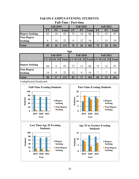#### **Fall ON-CAMPUS EVENING STUDENTS Full-Time / Part-time**

|                       | <b>Fall 2019</b> |           |              |           | <b>Fall 2020</b> |              | <b>Fall 2021</b> |           |              |  |  |  |
|-----------------------|------------------|-----------|--------------|-----------|------------------|--------------|------------------|-----------|--------------|--|--|--|
|                       | FT               | <b>PT</b> | <b>Total</b> | <b>FT</b> | <b>PT</b>        | <b>Total</b> | <b>FT</b>        | <b>PT</b> | <b>Total</b> |  |  |  |
| <b>Degree Seeking</b> | 83               | 10        | 93           | 72        | 14               | 86           | 72               |           | 87           |  |  |  |
| Non-Degree            |                  |           |              |           |                  |              |                  |           |              |  |  |  |
| <b>Seeking</b>        | 6                | 16        | 22           | 4         | 12               |              |                  |           | 14           |  |  |  |
| <b>Total</b>          | 89               | 26        | 115          | 76        | 26               | 102          | 73               | 28        |              |  |  |  |

#### **Age**

|                              |    | <b>Fall 2019</b> |    |    | <b>Fall 2020</b> |     | <b>Fall 2021</b> |                                                       |     |  |
|------------------------------|----|------------------|----|----|------------------|-----|------------------|-------------------------------------------------------|-----|--|
|                              |    |                  |    |    |                  |     |                  | LT 25 GE 25 Total LT 25 GE 25 Total LT 25 GE 25 Total |     |  |
| <b>Degree Seeking</b>        | 84 |                  | 93 | 73 | 13               | 86  | 75               | 12                                                    | 87  |  |
| <b>Non-Degree</b><br>Seeking | 14 | 8                | 22 | 12 |                  | 16  |                  |                                                       | 14  |  |
| <b>Total</b>                 | 98 |                  |    | 85 |                  | 102 | 82               |                                                       | 101 |  |

Unduplicated Headcount

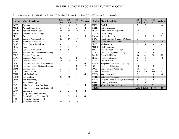#### EASTERN WYOMING COLLEGE STUDENT MAJORS

| Major        | <b>Major Description</b>             | Fall<br>2019             | Fall<br>2020   | Fall<br>2021   | Variance       |              | Major Major Description              | Fall<br>2019   | Fall<br>2020   | Fall<br>2021   | Variance       |
|--------------|--------------------------------------|--------------------------|----------------|----------------|----------------|--------------|--------------------------------------|----------------|----------------|----------------|----------------|
| <b>ACCT</b>  | Accounting                           | 7                        | 10             | 8              | $-2$           | <b>ENGL</b>  | English                              | 2              | 3              |                | $-3$           |
| <b>AGBP</b>  | Ag Beef Production                   | $\overline{c}$           | 3              | 2              | -1             | <b>ENTR</b>  | Entrepreneurship                     |                |                |                |                |
| <b>AGBSS</b> | Agri-Business and Sciences           | 28                       | 29             | 39             | 10             | <b>FRCH</b>  | Farm/Ranch Management                | 12             | 12             | 11             | $-1$           |
| <b>AQTK</b>  | <b>Aquaculture Technology</b>        |                          | 5              |                | -5             | <b>GUNS</b>  | Gunsmithing                          | 14             | 24             | 21             | $-3$           |
| <b>ART</b>   | Art                                  | 8                        |                |                | $-7$           | <b>HMSV</b>  | Human Services                       | 4              | $\tau$         | 9              | $\overline{c}$ |
| <b>BADM</b>  | <b>Business Administration</b>       | 20                       | 29             | 30             |                | <b>INDL</b>  | Interdisciplinary Studies - Distance | 3              |                |                |                |
| <b>BARB</b>  | <b>Barbering Technician</b>          |                          |                |                |                | <b>INST</b>  | <b>Interdisciplinary Studies</b>     | 71             | 61             | 52             | $-9$           |
| <b>BARS</b>  | <b>Barber Stylist Technician</b>     |                          |                |                |                | <b>MATH</b>  | Mathematics                          |                | $\overline{4}$ | 3              | $-1$           |
| <b>BIOL</b>  | Biology                              | 3                        | 3              | 3              |                | <b>MTED</b>  | <b>Math Education</b>                |                |                |                |                |
| <b>BSAD</b>  | <b>Business Administration</b>       | 9                        | 6              | $\overline{2}$ | -4             | <b>MTT</b>   | Machine Tool Technology              |                |                | 2              | 2              |
| <b>BSDL</b>  | Business Adm. - Distance Learning    | $\overline{2}$           | $\overline{2}$ | $\overline{4}$ | $\overline{2}$ | <b>NURS</b>  | Associate Degree in Nursing          | 30             | 26             | 29             | 3              |
| <b>BSED</b>  | <b>Business Education</b>            |                          |                |                |                | <b>PAHL</b>  | Pre-Allied Health                    | 60             | 66             | 38             | $-28$          |
| CAPS         | <b>Computer Applications</b>         | 30                       |                |                | -6             | <b>PEAC</b>  | <b>Physical Education</b>            |                | 3              |                | $-2$           |
| <b>CJCR</b>  | Criminal Justice                     | 15                       | 15             | 8              | $-7$           | <b>PVET</b>  | Pre-Veterinary                       | 5              |                |                | $-3$           |
| <b>CJLE</b>  | Criminal Justice - Law Enforcement   | $\overline{2}$           |                |                | -1             | <b>REWM</b>  | Rangeland Ec & Wtrshd Mgt - Ag       | $\overline{4}$ |                |                |                |
| <b>CJRDL</b> | Criminal Justice - Distance Learning |                          | 4              |                | $-3$           | <b>SCED</b>  | <b>Secondary Education</b>           | 18             | 8              | 8              |                |
| <b>CMJT</b>  | Criminal Justice                     | 3                        |                |                |                | <b>SOSC</b>  | Social Science Associates            | 22             | 25             | 22             | $-3$           |
| <b>COMM</b>  | Communication                        | 4                        | 3              | 4              |                | <b>UNDE</b>  | Undeclared                           | 1022           | 901            | 905            | $\overline{4}$ |
| <b>CSHT</b>  | Hair Technology                      |                          |                |                | -1             | <b>VTAD</b>  | Veterinary Aide                      | 9              | 13             | 9              | $-4$           |
| <b>CSMO</b>  | Cosmetology                          | 36                       | 32             | 33             |                | <b>VTTK</b>  | Veterinary Technology                | 56             | 48             | 48             |                |
| <b>CSNT</b>  | Nail Technology                      | $\overline{2}$           |                | $\overline{2}$ |                | <b>WILD</b>  | Wildlife/Fisheries Biology & Manager | 5              | 6              | $\overline{c}$ | -4             |
| <b>CSST</b>  | Skin Technology                      |                          |                |                |                | <b>WJSP</b>  | <b>Welding Specialist</b>            |                |                |                | -1             |
| <b>ECC</b>   | Child Development Certificate        |                          |                |                | -1             | <b>WJTK</b>  | Welding & Joining Technology         | 82             | 68             | 71             | 3              |
| <b>ECDL</b>  | Child Development Certificate - DL   |                          |                |                |                | <b>Total</b> |                                      | 1,635          | 1,468          | 1,402          | $-66$          |
| <b>ECON</b>  | Economics                            | 2                        | 2              | 1              | $-1$           |              |                                      |                |                |                |                |
| <b>EDEC</b>  | Early Childhood Education            | $\overline{\mathcal{L}}$ | $\overline{7}$ | 9              | $\sqrt{2}$     |              |                                      |                |                |                |                |
| <b>EDL</b>   | Eary Childhoon Eduction- DL          |                          | $\overline{2}$ | $\mathbf{1}$   | $-1$           |              |                                      |                |                |                |                |
| <b>EEDL</b>  | Elementary Education - DL            |                          |                |                |                |              |                                      |                |                |                |                |
| <b>ELED</b>  | <b>Elementary Education</b>          | 27                       | 16             | 19             | 3              |              |                                      |                |                |                |                |

The top 3 majors were Interdisciplinary Studies (52), Welding & Joining Technology (71) and Veterinary Technology (48).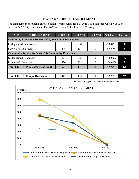## **EWC NON-CREDIT ENROLLMENT**

The total number of students enrolled in non-credit courses for Fall 2021 was 1 students, which was a 334 decrease (-99.70%) compared to Fall 2020 and it was 258 below the 3 Yr. Avg .

| <b>NON-CREDIT HEADCOUNT</b>                                     | <b>Fall 2019</b> | <b>Fall 2020</b> | <b>Fall 2021</b> |             | % Change 3 Yr. Avg. |  |  |  |  |  |  |
|-----------------------------------------------------------------|------------------|------------------|------------------|-------------|---------------------|--|--|--|--|--|--|
| <b>Continuing Education Students (CE) Workforce Development</b> |                  |                  |                  |             |                     |  |  |  |  |  |  |
| <b>Unduplicated Headcount</b>                                   | 151              | 180              |                  | $-99.44%$   | 111                 |  |  |  |  |  |  |
| <b>Duplicated Headcount</b>                                     | 244              | 218              |                  | $-99.54%$   | 154                 |  |  |  |  |  |  |
| <b>Community Service Students (CS) Community Education</b>      |                  |                  |                  |             |                     |  |  |  |  |  |  |
| <b>Unduplicated Headcount</b>                                   | 324              | 165              | $\theta$         | $-100.00\%$ | 163                 |  |  |  |  |  |  |
| Duplicated Headcount                                            | 450              | 213              |                  | $-100.00\%$ | 221                 |  |  |  |  |  |  |
| <b>Total CE + CS Duplicated Headcount</b>                       | 694              | 431              |                  | $-99.77\%$  | 375                 |  |  |  |  |  |  |
|                                                                 |                  |                  |                  |             |                     |  |  |  |  |  |  |
| Total CE + CS Unique Headcount                                  | 441              | 335              |                  | $-99.70%$   | 259                 |  |  |  |  |  |  |

Source: Colleague Non-Credit Enrollment Report

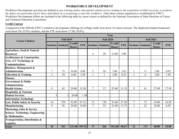### **WORKFORCE DEVELOPMENT**

Workforce Development activities are defined as *any training and/or educational related service leading to the acquisition of skills necessary to perform the duties of a particular job for those individuals in or preparing to enter the workforce*. Only those courses organized or coordinated by EWC's Workforce Development efforts are included in the following table by career cluster as defined by the National Association of State Directors of Career and Technical Education Consortium.

#### **Credit Courses**

Compared to Fall 2020 the EWC's workforce development offerings for college credit went down 16 course sections. The duplicated student headcount went down 93(-35.0%) students, and the FTE went down 17.58(-29.0%).

|                                                            | Year             |                          |                               |               |                |                          |                               |            |                  |                          |                               |            |
|------------------------------------------------------------|------------------|--------------------------|-------------------------------|---------------|----------------|--------------------------|-------------------------------|------------|------------------|--------------------------|-------------------------------|------------|
| <b>Career Clusters</b>                                     | <b>Fall 2019</b> |                          |                               |               |                | <b>Fall 2020</b>         |                               |            | <b>Fall 2021</b> |                          |                               |            |
|                                                            |                  | <b>Sections Students</b> | <b>Credit</b><br><b>Hours</b> | <b>FTE</b>    |                | <b>Sections Students</b> | <b>Credit</b><br><b>Hours</b> | <b>FTE</b> |                  | <b>Sections Students</b> | <b>Credit</b><br><b>Hours</b> | <b>FTE</b> |
| <b>Agriculture, Food &amp; Natural</b><br><b>Resources</b> |                  |                          |                               |               | 4              | 20                       | 12.00                         | 5.00       |                  |                          |                               |            |
| <b>Architecture &amp; Construction</b>                     |                  |                          |                               |               |                |                          |                               |            |                  |                          |                               |            |
| Arts, A/V Technology &<br><b>Communications</b>            |                  |                          |                               |               |                |                          |                               |            |                  |                          |                               |            |
| <b>Business, Management &amp;</b>                          |                  |                          |                               |               |                |                          |                               |            |                  |                          |                               |            |
| <b>Administration</b>                                      | 7                | 75                       | 10.00                         | 9.08          | 5              | 24                       | 7.00                          | 2.83       |                  | 11                       | 1.00                          | 0.92       |
| <b>Education &amp; Training</b>                            | $\overline{2}$   | 10                       | 6.00                          | 2.50          |                |                          | 3.00                          | 0.25       |                  | 6                        | 3.00                          | 1.50       |
| <b>Finance</b>                                             |                  |                          |                               |               |                |                          |                               |            |                  |                          |                               |            |
| <b>Government &amp; Public</b>                             |                  |                          |                               |               |                |                          |                               |            |                  |                          |                               |            |
| <b>Administration</b>                                      |                  |                          |                               |               |                |                          |                               |            |                  |                          |                               |            |
| <b>Health Science</b>                                      | 8                | 45                       | 29.00                         | 13.50         | $\tau$         | 37                       | 25.00                         | 11.33      | 9                | 61                       | 27.00                         | 17.58      |
| <b>Hospitality &amp; Tourism</b>                           |                  |                          |                               |               |                |                          |                               |            |                  |                          |                               |            |
| <b>Human Services</b>                                      | 3                | 3                        | 20.00                         | 1.50          |                |                          |                               |            |                  |                          |                               |            |
| <b>Information Technology</b>                              |                  |                          |                               |               |                |                          |                               |            |                  |                          |                               |            |
| Law, Public Safety & Security                              | 14               | 354                      | 32.00                         | 67.33         | 13             | 130                      | 33.00                         | 27.50      | 7                | 73                       | 19.00                         | 16.58      |
| <b>Manufacturing</b>                                       | 8                | 56                       | 24.00                         | 14.00         | $\overline{7}$ | 54                       | 21.00                         | 13.75      | 3                | 22                       | 10.00                         | 6.50       |
| <b>Marketing, Sales &amp; Service</b>                      |                  |                          |                               |               |                |                          |                               |            |                  |                          |                               |            |
| <b>Science, Technology, Engineering</b>                    |                  |                          |                               |               |                |                          |                               |            |                  |                          |                               |            |
| & Mathematics                                              |                  |                          |                               |               |                |                          |                               |            |                  |                          |                               |            |
| Transportation, Distribution &<br>Logistics                |                  |                          |                               |               |                |                          |                               |            |                  |                          |                               |            |
| <b>Total</b>                                               | 42               | 543                      |                               | 121.00 107.92 | 37             | 266                      | 101.00                        | 60.67      | 21               | 173                      | 60.00                         | 43.08      |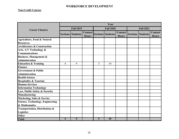#### **WORKFORCE DEVELOPMENT**

#### **Non-Credit Courses**

|                                         | Year           |                          |                                |                |                          |                         |                  |                          |                         |  |  |  |  |
|-----------------------------------------|----------------|--------------------------|--------------------------------|----------------|--------------------------|-------------------------|------------------|--------------------------|-------------------------|--|--|--|--|
| <b>Career Clusters</b>                  |                | <b>Fall 2019</b>         |                                |                | <b>Fall 2020</b>         |                         | <b>Fall 2021</b> |                          |                         |  |  |  |  |
|                                         |                | <b>Sections Students</b> | <b>Contact</b><br><b>Hours</b> |                | <b>Sections Students</b> | Contact<br><b>Hours</b> |                  | <b>Sections Students</b> | Contact<br><b>Hours</b> |  |  |  |  |
| Agriculture, Food & Natural             |                |                          |                                |                |                          |                         |                  |                          |                         |  |  |  |  |
| <b>Resources</b>                        |                |                          |                                |                |                          |                         |                  |                          |                         |  |  |  |  |
| <b>Architecture &amp; Construction</b>  |                |                          |                                |                |                          |                         |                  |                          |                         |  |  |  |  |
| Arts, A/V Technology &                  |                |                          |                                |                |                          |                         |                  |                          |                         |  |  |  |  |
| <b>Communications</b>                   |                |                          |                                |                |                          |                         |                  |                          |                         |  |  |  |  |
| <b>Business, Management &amp;</b>       |                |                          |                                |                |                          |                         |                  |                          |                         |  |  |  |  |
| <b>Administration</b>                   |                |                          |                                |                |                          |                         |                  |                          |                         |  |  |  |  |
| <b>Education &amp; Training</b>         | $\overline{4}$ | 9                        |                                | 5              | 10                       |                         |                  |                          |                         |  |  |  |  |
| <b>Finance</b>                          |                |                          |                                |                |                          |                         |                  |                          |                         |  |  |  |  |
| <b>Government &amp; Public</b>          |                |                          |                                |                |                          |                         |                  |                          |                         |  |  |  |  |
| <b>Administration</b>                   |                |                          |                                |                |                          |                         |                  |                          |                         |  |  |  |  |
| <b>Health Science</b>                   |                |                          |                                |                |                          |                         |                  |                          |                         |  |  |  |  |
| <b>Hospitality &amp; Tourism</b>        |                |                          |                                |                |                          |                         |                  |                          |                         |  |  |  |  |
| <b>Human Services</b>                   |                |                          |                                |                |                          |                         |                  |                          |                         |  |  |  |  |
| <b>Information Technology</b>           |                |                          |                                |                |                          |                         |                  |                          |                         |  |  |  |  |
| Law, Public Safety & Security           |                |                          |                                |                |                          |                         |                  |                          |                         |  |  |  |  |
| Manufacturing                           |                |                          |                                |                |                          |                         |                  |                          |                         |  |  |  |  |
| <b>Marketing, Sales &amp; Service</b>   |                |                          |                                |                |                          |                         |                  |                          |                         |  |  |  |  |
| <b>Science, Technology, Engineering</b> |                |                          |                                |                |                          |                         |                  |                          |                         |  |  |  |  |
| & Mathematics                           |                |                          |                                |                |                          |                         |                  |                          |                         |  |  |  |  |
| Transportation, Distribution &          |                |                          |                                |                |                          |                         |                  |                          |                         |  |  |  |  |
| <b>Logistics</b>                        |                |                          |                                |                |                          |                         |                  |                          |                         |  |  |  |  |
| Other                                   |                |                          |                                |                |                          |                         |                  |                          |                         |  |  |  |  |
| <b>Total</b>                            | 4              | 9                        |                                | 5 <sup>5</sup> | 10                       |                         |                  |                          |                         |  |  |  |  |